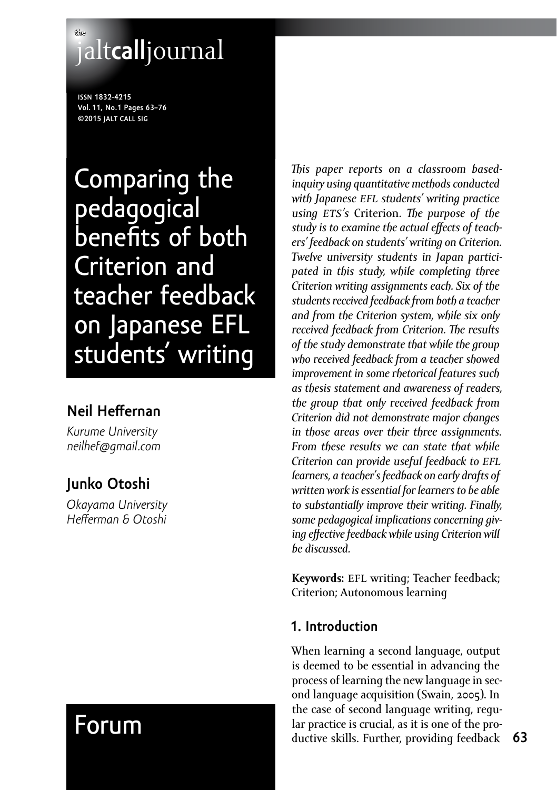# **the** jalt**call**journal

**issn 1832-4215 Vol. 11, No.1 Pages 63–76 ©2015 jalt call sig**

Comparing the pedagogical benefits of both Criterion and teacher feedback on Japanese EFL students' writing

# **Neil Heffernan**

*Kurume University [neilhef@gmail.com](mailto:neilhef@gmail.com)*

# **Junko Otoshi**

*Okayama University Hefferman & Otoshi*

# Forum

*This paper reports on a classroom basedinquiry using quantitative methods conducted with Japanese efl students' writing practice using ets's* Criterion. *The purpose of the study is to examine the actual effects of teachers' feedback on students' writing on Criterion. Twelve university students in Japan participated in this study, while completing three Criterion writing assignments each. Six of the students received feedback from both a teacher and from the Criterion system, while six only received feedback from Criterion. The results of the study demonstrate that while the group who received feedback from a teacher showed improvement in some rhetorical features such as thesis statement and awareness of readers, the group that only received feedback from Criterion did not demonstrate major changes in those areas over their three assignments. From these results we can state that while Criterion can provide useful feedback to efl learners, a teacher's feedback on early drafts of written work is essential for learners to be able to substantially improve their writing. Finally, some pedagogical implications concerning giving effective feedback while using Criterion will be discussed.*

Keywords: EFL writing; Teacher feedback; Criterion; Autonomous learning

# **1. Introduction**

When learning a second language, output is deemed to be essential in advancing the process of learning the new language in second language acquisition (Swain, 2005). In the case of second language writing, regular practice is crucial, as it is one of the productive skills. Further, providing feedback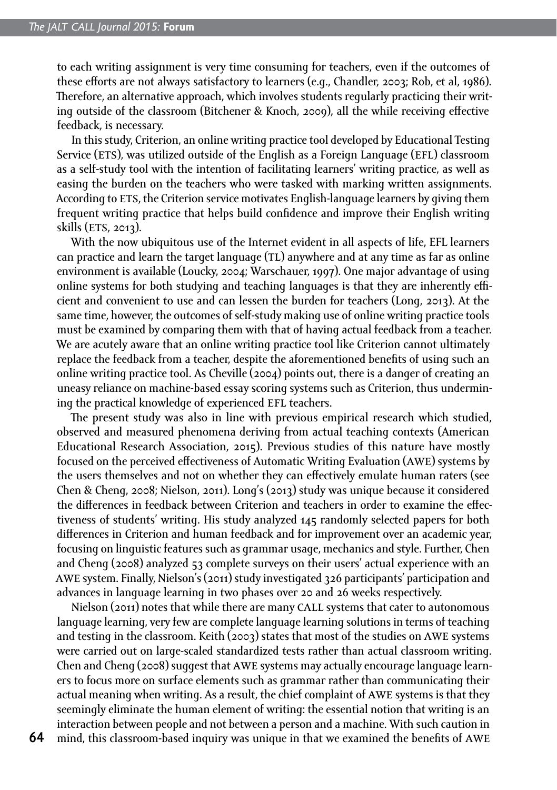to each writing assignment is very time consuming for teachers, even if the outcomes of these efforts are not always satisfactory to learners (e.g., Chandler, 2003; Rob, et al, 1986). Therefore, an alternative approach, which involves students regularly practicing their writing outside of the classroom (Bitchener & Knoch, 2009), all the while receiving effective feedback, is necessary.

In this study, Criterion, an online writing practice tool developed by Educational Testing Service (ETS), was utilized outside of the English as a Foreign Language (EFL) classroom as a self-study tool with the intention of facilitating learners' writing practice, as well as easing the burden on the teachers who were tasked with marking written assignments. According to ETS, the Criterion service motivates English-language learners by giving them frequent writing practice that helps build confidence and improve their English writing skills (ETS, 2013).

With the now ubiquitous use of the Internet evident in all aspects of life, EFL learners can practice and learn the target language (TL) anywhere and at any time as far as online environment is available (Loucky, 2004; Warschauer, 1997). One major advantage of using online systems for both studying and teaching languages is that they are inherently efficient and convenient to use and can lessen the burden for teachers (Long, 2013). At the same time, however, the outcomes of self-study making use of online writing practice tools must be examined by comparing them with that of having actual feedback from a teacher. We are acutely aware that an online writing practice tool like Criterion cannot ultimately replace the feedback from a teacher, despite the aforementioned benefits of using such an online writing practice tool. As Cheville (2004) points out, there is a danger of creating an uneasy reliance on machine-based essay scoring systems such as Criterion, thus undermining the practical knowledge of experienced EFL teachers.

The present study was also in line with previous empirical research which studied, observed and measured phenomena deriving from actual teaching contexts (American Educational Research Association, 2015). Previous studies of this nature have mostly focused on the perceived effectiveness of Automatic Writing Evaluation (awe) systems by the users themselves and not on whether they can effectively emulate human raters (see Chen & Cheng, 2008; Nielson, 2011). Long's (2013) study was unique because it considered the differences in feedback between Criterion and teachers in order to examine the effectiveness of students' writing. His study analyzed 145 randomly selected papers for both differences in Criterion and human feedback and for improvement over an academic year, focusing on linguistic features such as grammar usage, mechanics and style. Further, Chen and Cheng (2008) analyzed 53 complete surveys on their users' actual experience with an awe system. Finally, Nielson's (2011) study investigated 326 participants' participation and advances in language learning in two phases over 20 and 26 weeks respectively.

Nielson (2011) notes that while there are many CALL systems that cater to autonomous language learning, very few are complete language learning solutions in terms of teaching and testing in the classroom. Keith (2003) states that most of the studies on awe systems were carried out on large-scaled standardized tests rather than actual classroom writing. Chen and Cheng (2008) suggest that awe systems may actually encourage language learners to focus more on surface elements such as grammar rather than communicating their actual meaning when writing. As a result, the chief complaint of awe systems is that they seemingly eliminate the human element of writing: the essential notion that writing is an interaction between people and not between a person and a machine. With such caution in

**64**

mind, this classroom-based inquiry was unique in that we examined the benefits of awe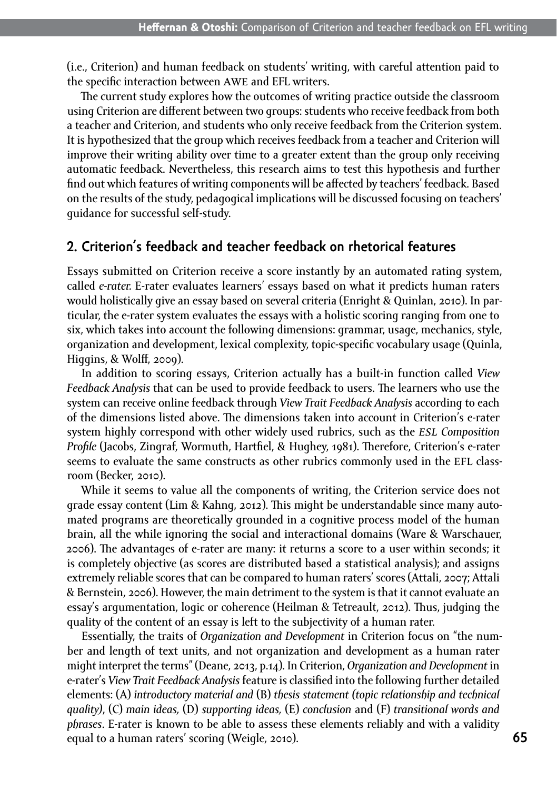(i.e., Criterion) and human feedback on students' writing, with careful attention paid to the specific interaction between awe and EFL writers.

The current study explores how the outcomes of writing practice outside the classroom using Criterion are different between two groups: students who receive feedback from both a teacher and Criterion, and students who only receive feedback from the Criterion system. It is hypothesized that the group which receives feedback from a teacher and Criterion will improve their writing ability over time to a greater extent than the group only receiving automatic feedback. Nevertheless, this research aims to test this hypothesis and further find out which features of writing components will be affected by teachers' feedback. Based on the results of the study, pedagogical implications will be discussed focusing on teachers' guidance for successful self-study.

## **2. Criterion's feedback and teacher feedback on rhetorical features**

Essays submitted on Criterion receive a score instantly by an automated rating system, called *e-rater.* E-rater evaluates learners' essays based on what it predicts human raters would holistically give an essay based on several criteria (Enright & Quinlan, 2010). In particular, the e-rater system evaluates the essays with a holistic scoring ranging from one to six, which takes into account the following dimensions: grammar, usage, mechanics, style, organization and development, lexical complexity, topic-specific vocabulary usage (Quinla, Higgins, & Wolff, 2009).

In addition to scoring essays, Criterion actually has a built-in function called *View Feedback Analysis* that can be used to provide feedback to users. The learners who use the system can receive online feedback through *View Trait Feedback Analysis* according to each of the dimensions listed above. The dimensions taken into account in Criterion's e-rater system highly correspond with other widely used rubrics, such as the *esl Composition Profile* (Jacobs, Zingraf, Wormuth, Hartfiel, & Hughey, 1981). Therefore, Criterion's e-rater seems to evaluate the same constructs as other rubrics commonly used in the EFL classroom (Becker, 2010).

While it seems to value all the components of writing, the Criterion service does not grade essay content (Lim & Kahng, 2012). This might be understandable since many automated programs are theoretically grounded in a cognitive process model of the human brain, all the while ignoring the social and interactional domains (Ware & Warschauer, 2006). The advantages of e-rater are many: it returns a score to a user within seconds; it is completely objective (as scores are distributed based a statistical analysis); and assigns extremely reliable scores that can be compared to human raters' scores (Attali, 2007; Attali & Bernstein, 2006). However, the main detriment to the system is that it cannot evaluate an essay's argumentation, logic or coherence (Heilman & Tetreault, 2012). Thus, judging the quality of the content of an essay is left to the subjectivity of a human rater.

Essentially, the traits of *Organization and Development* in Criterion focus on "the number and length of text units, and not organization and development as a human rater might interpret the terms" (Deane, 2013, p.14). In Criterion, *Organization and Development* in e-rater's *View Trait Feedback Analysis* feature is classified into the following further detailed elements: (A) *introductory material and* (B) *thesis statement (topic relationship and technical quality)*, (C) *main ideas,* (D) *supporting ideas,* (E) *conclusion* and (F) *transitional words and phrases*. E-rater is known to be able to assess these elements reliably and with a validity equal to a human raters' scoring (Weigle, 2010).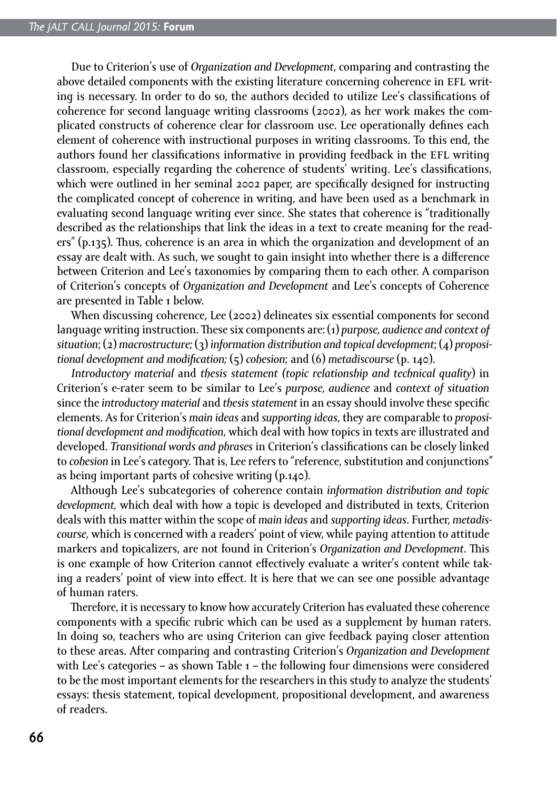Due to Criterion's use of *Organization and Development*, comparing and contrasting the above detailed components with the existing literature concerning coherence in EFL writing is necessary. In order to do so, the authors decided to utilize Lee's classifications of coherence for second language writing classrooms (2002), as her work makes the complicated constructs of coherence clear for classroom use. Lee operationally defines each element of coherence with instructional purposes in writing classrooms. To this end, the authors found her classifications informative in providing feedback in the efl writing classroom, especially regarding the coherence of students' writing. Lee's classifications, which were outlined in her seminal 2002 paper, are specifically designed for instructing the complicated concept of coherence in writing, and have been used as a benchmark in evaluating second language writing ever since. She states that coherence is "traditionally described as the relationships that link the ideas in a text to create meaning for the readers" (p.135). Thus, coherence is an area in which the organization and development of an essay are dealt with. As such, we sought to gain insight into whether there is a difference between Criterion and Lee's taxonomies by comparing them to each other. A comparison of Criterion's concepts of *Organization and Development* and Lee's concepts of Coherence are presented in Table 1 below.

When discussing coherence, Lee (2002) delineates six essential components for second language writing instruction. These six components are: (1) *purpose, audience and context of situation*; (2) *macrostructure;* (3) *information distribution and topical development*; (4) *propositional development and modification;* (5) *cohesion*; and (6) *metadiscourse* (p. 140).

*Introductory material* and *thesis statement (topic relationship and technical quality*) in Criterion's e-rater seem to be similar to Lee's *purpose, audience* and *context of situation* since the *introductory material* and *thesis statement* in an essay should involve these specific elements. As for Criterion's *main ideas* and *supporting ideas*, they are comparable to *propositional development and modification*, which deal with how topics in texts are illustrated and developed. *Transitional words and phrases* in Criterion's classifications can be closely linked to *cohesion* in Lee's category. That is, Lee refers to "reference, substitution and conjunctions" as being important parts of cohesive writing (p.140).

Although Lee's subcategories of coherence contain *information distribution and topic development,* which deal with how a topic is developed and distributed in texts, Criterion deals with this matter within the scope of *main ideas* and *supporting ideas*. Further, *metadiscourse,* which is concerned with a readers' point of view, while paying attention to attitude markers and topicalizers, are not found in Criterion's *Organization and Development*. This is one example of how Criterion cannot effectively evaluate a writer's content while taking a readers' point of view into effect. It is here that we can see one possible advantage of human raters.

Therefore, it is necessary to know how accurately Criterion has evaluated these coherence components with a specific rubric which can be used as a supplement by human raters. In doing so, teachers who are using Criterion can give feedback paying closer attention to these areas. After comparing and contrasting Criterion's *Organization and Development*  with Lee's categories – as shown Table  $1$  – the following four dimensions were considered to be the most important elements for the researchers in this study to analyze the students' essays: thesis statement, topical development, propositional development, and awareness of readers.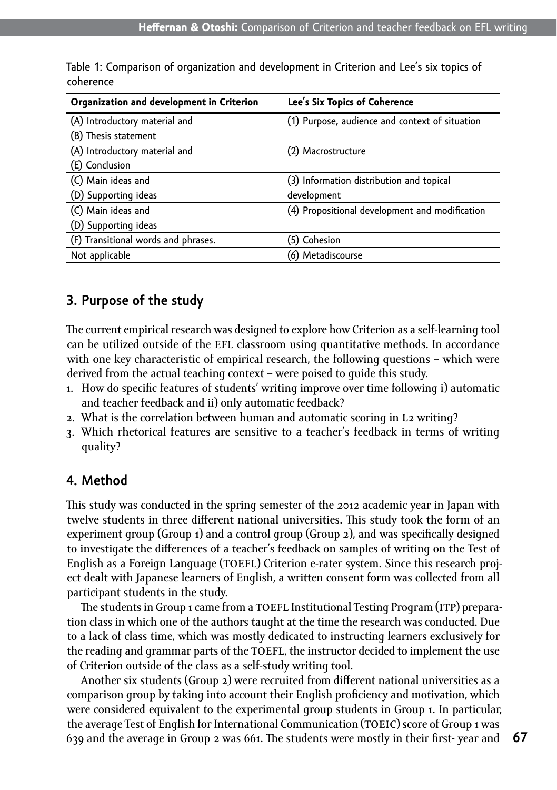| Organization and development in Criterion | Lee's Six Topics of Coherence                  |
|-------------------------------------------|------------------------------------------------|
| (A) Introductory material and             | (1) Purpose, audience and context of situation |
| (B) Thesis statement                      |                                                |
| (A) Introductory material and             | (2) Macrostructure                             |
| (E) Conclusion                            |                                                |
| (C) Main ideas and                        | (3) Information distribution and topical       |
| (D) Supporting ideas                      | development                                    |
| (C) Main ideas and                        | (4) Propositional development and modification |
| (D) Supporting ideas                      |                                                |
| (F) Transitional words and phrases.       | (5) Cohesion                                   |
| Not applicable                            | (6) Metadiscourse                              |

Table 1: Comparison of organization and development in Criterion and Lee's six topics of coherence

## **3. Purpose of the study**

The current empirical research was designed to explore how Criterion as a self-learning tool can be utilized outside of the EFL classroom using quantitative methods. In accordance with one key characteristic of empirical research, the following questions – which were derived from the actual teaching context – were poised to guide this study.

- 1. How do specific features of students' writing improve over time following i) automatic and teacher feedback and ii) only automatic feedback?
- 2. What is the correlation between human and automatic scoring in L2 writing?
- 3. Which rhetorical features are sensitive to a teacher's feedback in terms of writing quality?

# **4. Method**

This study was conducted in the spring semester of the 2012 academic year in Japan with twelve students in three different national universities. This study took the form of an experiment group (Group 1) and a control group (Group 2), and was specifically designed to investigate the differences of a teacher's feedback on samples of writing on the Test of English as a Foreign Language (toefl) Criterion e-rater system. Since this research project dealt with Japanese learners of English, a written consent form was collected from all participant students in the study.

The students in Group 1 came from a TOEFL Institutional Testing Program (ITP) preparation class in which one of the authors taught at the time the research was conducted. Due to a lack of class time, which was mostly dedicated to instructing learners exclusively for the reading and grammar parts of the TOEFL, the instructor decided to implement the use of Criterion outside of the class as a self-study writing tool.

Another six students (Group 2) were recruited from different national universities as a comparison group by taking into account their English proficiency and motivation, which were considered equivalent to the experimental group students in Group 1. In particular, the average Test of English for International Communication (TOEIC) score of Group 1 was 639 and the average in Group 2 was 661. The students were mostly in their first- year and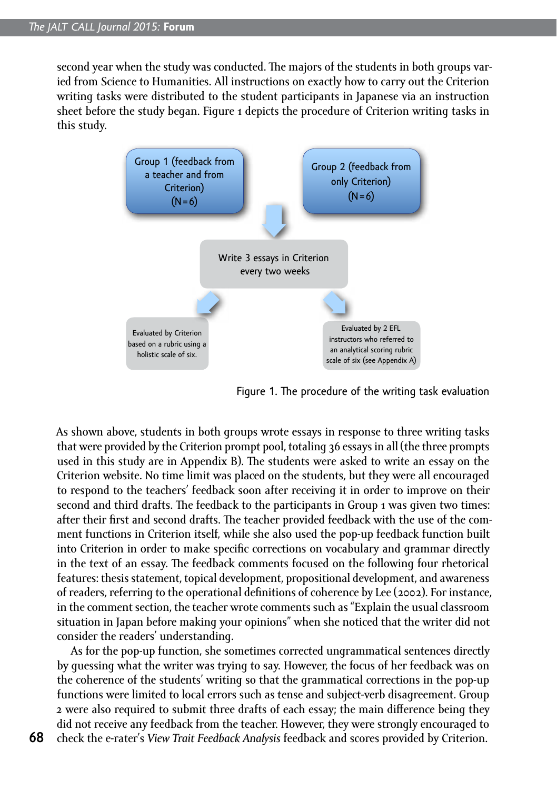second year when the study was conducted. The majors of the students in both groups varied from Science to Humanities. All instructions on exactly how to carry out the Criterion writing tasks were distributed to the student participants in Japanese via an instruction sheet before the study began. Figure 1 depicts the procedure of Criterion writing tasks in this study.



Figure 1. The procedure of the writing task evaluation

As shown above, students in both groups wrote essays in response to three writing tasks that were provided by the Criterion prompt pool, totaling 36 essays in all (the three prompts used in this study are in Appendix B). The students were asked to write an essay on the Criterion website. No time limit was placed on the students, but they were all encouraged to respond to the teachers' feedback soon after receiving it in order to improve on their second and third drafts. The feedback to the participants in Group 1 was given two times: after their first and second drafts. The teacher provided feedback with the use of the comment functions in Criterion itself, while she also used the pop-up feedback function built into Criterion in order to make specific corrections on vocabulary and grammar directly in the text of an essay. The feedback comments focused on the following four rhetorical features: thesis statement, topical development, propositional development, and awareness of readers, referring to the operational definitions of coherence by Lee (2002). For instance, in the comment section, the teacher wrote comments such as "Explain the usual classroom situation in Japan before making your opinions" when she noticed that the writer did not consider the readers' understanding.

As for the pop-up function, she sometimes corrected ungrammatical sentences directly by guessing what the writer was trying to say. However, the focus of her feedback was on the coherence of the students' writing so that the grammatical corrections in the pop-up functions were limited to local errors such as tense and subject-verb disagreement. Group 2 were also required to submit three drafts of each essay; the main difference being they did not receive any feedback from the teacher. However, they were strongly encouraged to check the e-rater's *View Trait Feedback Analysis* feedback and scores provided by Criterion.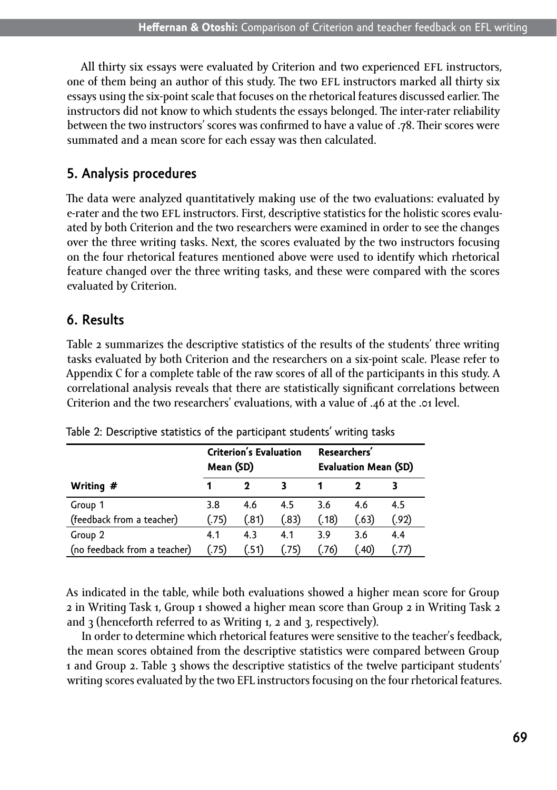All thirty six essays were evaluated by Criterion and two experienced EFL instructors. one of them being an author of this study. The two EFL instructors marked all thirty six essays using the six-point scale that focuses on the rhetorical features discussed earlier. The instructors did not know to which students the essays belonged. The inter-rater reliability between the two instructors' scores was confirmed to have a value of .78. Their scores were summated and a mean score for each essay was then calculated.

# **5. Analysis procedures**

The data were analyzed quantitatively making use of the two evaluations: evaluated by e-rater and the two EFL instructors. First, descriptive statistics for the holistic scores evaluated by both Criterion and the two researchers were examined in order to see the changes over the three writing tasks. Next, the scores evaluated by the two instructors focusing on the four rhetorical features mentioned above were used to identify which rhetorical feature changed over the three writing tasks, and these were compared with the scores evaluated by Criterion.

# **6. Results**

Table 2 summarizes the descriptive statistics of the results of the students' three writing tasks evaluated by both Criterion and the researchers on a six-point scale. Please refer to Appendix C for a complete table of the raw scores of all of the participants in this study. A correlational analysis reveals that there are statistically significant correlations between Criterion and the two researchers' evaluations, with a value of .46 at the .01 level.

|                              | Mean (SD) | <b>Criterion's Evaluation</b> |       | Researchers'<br><b>Evaluation Mean (SD)</b> |       |       |  |
|------------------------------|-----------|-------------------------------|-------|---------------------------------------------|-------|-------|--|
| Writing #                    |           | 2                             | 3     |                                             |       |       |  |
| Group 1                      | 3.8       | 4.6                           | 4.5   | 3.6                                         | 4.6   | 4.5   |  |
| (feedback from a teacher)    | (.75)     | (.81)                         | (.83) | (.18)                                       | (.63) | (.92) |  |
| Group 2                      | 4.1       | 4.3                           | 4.1   | 3.9                                         | 3.6   | 4.4   |  |
| (no feedback from a teacher) | (.75)     | (.51)                         | (.75) | (.76)                                       | (.40) | (.77) |  |

Table 2: Descriptive statistics of the participant students' writing tasks

As indicated in the table, while both evaluations showed a higher mean score for Group 2 in Writing Task 1, Group 1 showed a higher mean score than Group 2 in Writing Task 2 and 3 (henceforth referred to as Writing 1, 2 and 3, respectively).

In order to determine which rhetorical features were sensitive to the teacher's feedback, the mean scores obtained from the descriptive statistics were compared between Group 1 and Group 2. Table 3 shows the descriptive statistics of the twelve participant students' writing scores evaluated by the two EFL instructors focusing on the four rhetorical features.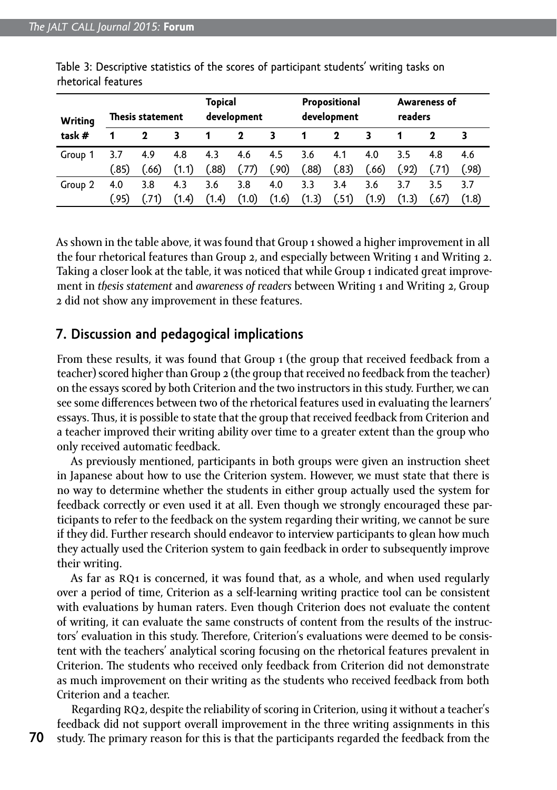| <b>Writing</b> | <b>Thesis statement</b> |       |       | <b>Topical</b><br>development |       |       | Propositional<br>development |       |       | Awareness of<br>readers |       |       |
|----------------|-------------------------|-------|-------|-------------------------------|-------|-------|------------------------------|-------|-------|-------------------------|-------|-------|
| task #         |                         | 2     | 3     |                               | 2     | 3     | 1                            | 2     |       |                         |       |       |
| Group 1        | 3.7                     | 4.9   | 4.8   | 4.3                           | 4.6   | 4.5   | 3.6                          | 4.1   | 4.0   | 3.5                     | 4.8   | 4.6   |
|                | (.85)                   | (.66) | (1.1) | (.88)                         | (.77) | (.90) | (88)                         | (.83) | (.66) | (.92)                   | (.71) | (.98) |
| Group 2        | 4.0                     | 3.8   | 4.3   | 3.6                           | 3.8   | 4.0   | 3.3                          | 3.4   | 3.6   | 3.7                     | 3.5   | 3.7   |
|                | (95)                    |       | (1.4) | (1.4)                         | (1.0) | (1.6) | (1.3)                        | (.51) | (1.9) | (1.3)                   | (.67) | (1.8) |

Table 3: Descriptive statistics of the scores of participant students' writing tasks on rhetorical features

As shown in the table above, it was found that Group 1 showed a higher improvement in all the four rhetorical features than Group 2, and especially between Writing 1 and Writing 2. Taking a closer look at the table, it was noticed that while Group 1 indicated great improvement in *thesis statement* and *awareness of readers* between Writing 1 and Writing 2, Group 2 did not show any improvement in these features.

#### **7. Discussion and pedagogical implications**

From these results, it was found that Group 1 (the group that received feedback from a teacher) scored higher than Group 2 (the group that received no feedback from the teacher) on the essays scored by both Criterion and the two instructors in this study. Further, we can see some differences between two of the rhetorical features used in evaluating the learners' essays. Thus, it is possible to state that the group that received feedback from Criterion and a teacher improved their writing ability over time to a greater extent than the group who only received automatic feedback.

As previously mentioned, participants in both groups were given an instruction sheet in Japanese about how to use the Criterion system. However, we must state that there is no way to determine whether the students in either group actually used the system for feedback correctly or even used it at all. Even though we strongly encouraged these participants to refer to the feedback on the system regarding their writing, we cannot be sure if they did. Further research should endeavor to interview participants to glean how much they actually used the Criterion system to gain feedback in order to subsequently improve their writing.

As far as RQ1 is concerned, it was found that, as a whole, and when used regularly over a period of time, Criterion as a self-learning writing practice tool can be consistent with evaluations by human raters. Even though Criterion does not evaluate the content of writing, it can evaluate the same constructs of content from the results of the instructors' evaluation in this study. Therefore, Criterion's evaluations were deemed to be consistent with the teachers' analytical scoring focusing on the rhetorical features prevalent in Criterion. The students who received only feedback from Criterion did not demonstrate as much improvement on their writing as the students who received feedback from both Criterion and a teacher.

Regarding RQ2, despite the reliability of scoring in Criterion, using it without a teacher's feedback did not support overall improvement in the three writing assignments in this study. The primary reason for this is that the participants regarded the feedback from the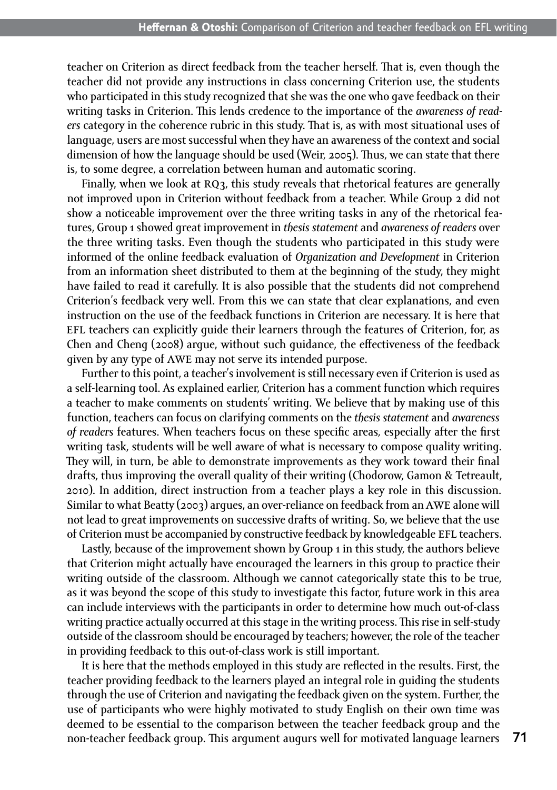teacher on Criterion as direct feedback from the teacher herself. That is, even though the teacher did not provide any instructions in class concerning Criterion use, the students who participated in this study recognized that she was the one who gave feedback on their writing tasks in Criterion. This lends credence to the importance of the *awareness of readers* category in the coherence rubric in this study. That is, as with most situational uses of language, users are most successful when they have an awareness of the context and social dimension of how the language should be used (Weir, 2005). Thus, we can state that there is, to some degree, a correlation between human and automatic scoring.

Finally, when we look at RO3, this study reveals that rhetorical features are generally not improved upon in Criterion without feedback from a teacher. While Group 2 did not show a noticeable improvement over the three writing tasks in any of the rhetorical features, Group 1 showed great improvement in *thesis statement* and *awareness of readers* over the three writing tasks. Even though the students who participated in this study were informed of the online feedback evaluation of *Organization and Development* in Criterion from an information sheet distributed to them at the beginning of the study, they might have failed to read it carefully. It is also possible that the students did not comprehend Criterion's feedback very well. From this we can state that clear explanations, and even instruction on the use of the feedback functions in Criterion are necessary. It is here that efl teachers can explicitly guide their learners through the features of Criterion, for, as Chen and Cheng (2008) argue, without such guidance, the effectiveness of the feedback given by any type of awe may not serve its intended purpose.

Further to this point, a teacher's involvement is still necessary even if Criterion is used as a self-learning tool. As explained earlier, Criterion has a comment function which requires a teacher to make comments on students' writing. We believe that by making use of this function, teachers can focus on clarifying comments on the *thesis statement* and *awareness of readers* features. When teachers focus on these specific areas*,* especially after the first writing task, students will be well aware of what is necessary to compose quality writing. They will, in turn, be able to demonstrate improvements as they work toward their final drafts, thus improving the overall quality of their writing (Chodorow, Gamon & Tetreault, 2010). In addition, direct instruction from a teacher plays a key role in this discussion. Similar to what Beatty (2003) argues, an over-reliance on feedback from an awe alone will not lead to great improvements on successive drafts of writing. So, we believe that the use of Criterion must be accompanied by constructive feedback by knowledgeable EFL teachers.

Lastly, because of the improvement shown by Group 1 in this study, the authors believe that Criterion might actually have encouraged the learners in this group to practice their writing outside of the classroom. Although we cannot categorically state this to be true, as it was beyond the scope of this study to investigate this factor, future work in this area can include interviews with the participants in order to determine how much out-of-class writing practice actually occurred at this stage in the writing process. This rise in self-study outside of the classroom should be encouraged by teachers; however, the role of the teacher in providing feedback to this out-of-class work is still important.

It is here that the methods employed in this study are reflected in the results. First, the teacher providing feedback to the learners played an integral role in guiding the students through the use of Criterion and navigating the feedback given on the system. Further, the use of participants who were highly motivated to study English on their own time was deemed to be essential to the comparison between the teacher feedback group and the non-teacher feedback group. This argument augurs well for motivated language learners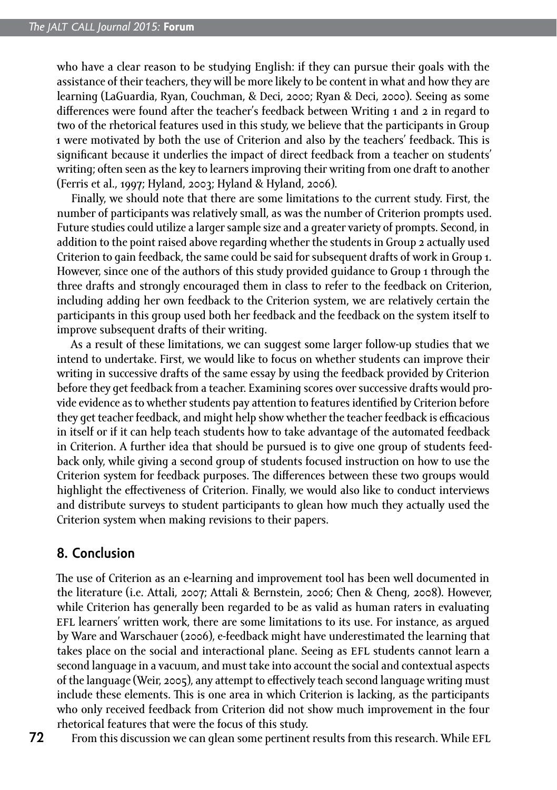who have a clear reason to be studying English: if they can pursue their goals with the assistance of their teachers, they will be more likely to be content in what and how they are learning (LaGuardia, Ryan, Couchman, & Deci, 2000; Ryan & Deci, 2000). Seeing as some differences were found after the teacher's feedback between Writing 1 and 2 in regard to two of the rhetorical features used in this study, we believe that the participants in Group 1 were motivated by both the use of Criterion and also by the teachers' feedback. This is significant because it underlies the impact of direct feedback from a teacher on students' writing; often seen as the key to learners improving their writing from one draft to another (Ferris et al., 1997; Hyland, 2003; Hyland & Hyland, 2006).

Finally, we should note that there are some limitations to the current study. First, the number of participants was relatively small, as was the number of Criterion prompts used. Future studies could utilize a larger sample size and a greater variety of prompts. Second, in addition to the point raised above regarding whether the students in Group 2 actually used Criterion to gain feedback, the same could be said for subsequent drafts of work in Group 1. However, since one of the authors of this study provided guidance to Group 1 through the three drafts and strongly encouraged them in class to refer to the feedback on Criterion, including adding her own feedback to the Criterion system, we are relatively certain the participants in this group used both her feedback and the feedback on the system itself to improve subsequent drafts of their writing.

As a result of these limitations, we can suggest some larger follow-up studies that we intend to undertake. First, we would like to focus on whether students can improve their writing in successive drafts of the same essay by using the feedback provided by Criterion before they get feedback from a teacher. Examining scores over successive drafts would provide evidence as to whether students pay attention to features identified by Criterion before they get teacher feedback, and might help show whether the teacher feedback is efficacious in itself or if it can help teach students how to take advantage of the automated feedback in Criterion. A further idea that should be pursued is to give one group of students feedback only, while giving a second group of students focused instruction on how to use the Criterion system for feedback purposes. The differences between these two groups would highlight the effectiveness of Criterion. Finally, we would also like to conduct interviews and distribute surveys to student participants to glean how much they actually used the Criterion system when making revisions to their papers.

#### **8. Conclusion**

The use of Criterion as an e-learning and improvement tool has been well documented in the literature (i.e. Attali, 2007; Attali & Bernstein, 2006; Chen & Cheng, 2008). However, while Criterion has generally been regarded to be as valid as human raters in evaluating efl learners' written work, there are some limitations to its use. For instance, as argued by Ware and Warschauer (2006), e-feedback might have underestimated the learning that takes place on the social and interactional plane. Seeing as EFL students cannot learn a second language in a vacuum, and must take into account the social and contextual aspects of the language (Weir, 2005), any attempt to effectively teach second language writing must include these elements. This is one area in which Criterion is lacking, as the participants who only received feedback from Criterion did not show much improvement in the four rhetorical features that were the focus of this study.

**72**

From this discussion we can glean some pertinent results from this research. While EFL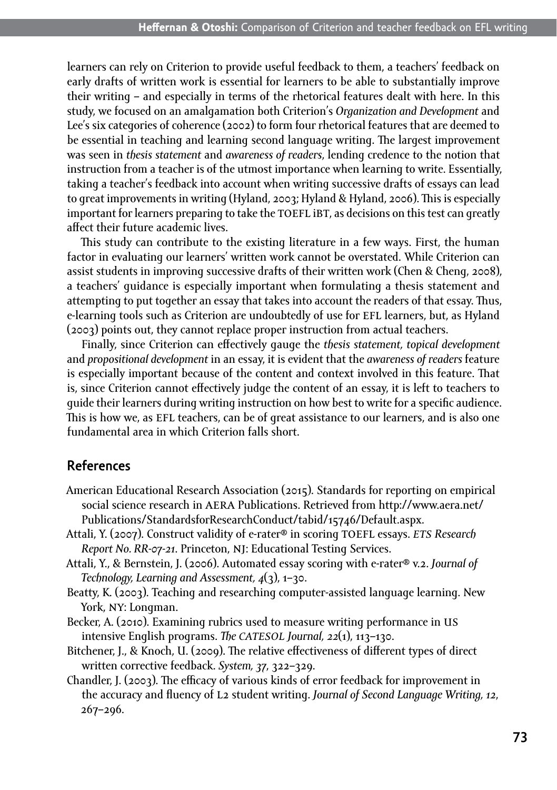learners can rely on Criterion to provide useful feedback to them, a teachers' feedback on early drafts of written work is essential for learners to be able to substantially improve their writing – and especially in terms of the rhetorical features dealt with here. In this study, we focused on an amalgamation both Criterion's *Organization and Development* and Lee's six categories of coherence (2002) to form four rhetorical features that are deemed to be essential in teaching and learning second language writing. The largest improvement was seen in *thesis statement* and *awareness of readers*, lending credence to the notion that instruction from a teacher is of the utmost importance when learning to write. Essentially, taking a teacher's feedback into account when writing successive drafts of essays can lead to great improvements in writing (Hyland, 2003; Hyland & Hyland, 2006). This is especially important for learners preparing to take the TOEFL iBT, as decisions on this test can greatly affect their future academic lives.

This study can contribute to the existing literature in a few ways. First, the human factor in evaluating our learners' written work cannot be overstated. While Criterion can assist students in improving successive drafts of their written work (Chen & Cheng, 2008), a teachers' guidance is especially important when formulating a thesis statement and attempting to put together an essay that takes into account the readers of that essay. Thus, e-learning tools such as Criterion are undoubtedly of use for EFL learners, but, as Hyland (2003) points out, they cannot replace proper instruction from actual teachers.

Finally, since Criterion can effectively gauge the *thesis statement, topical development* and *propositional development* in an essay, it is evident that the *awareness of readers* feature is especially important because of the content and context involved in this feature. That is, since Criterion cannot effectively judge the content of an essay, it is left to teachers to guide their learners during writing instruction on how best to write for a specific audience. This is how we, as EFL teachers, can be of great assistance to our learners, and is also one fundamental area in which Criterion falls short.

### **References**

- American Educational Research Association (2015). Standards for reporting on empirical social science research in AERA Publications. Retrieved from [http://www.aera.net/](http://www.aera.net/Publications/StandardsforResearchConduct/tabid/15746/Default.aspx) [Publications/StandardsforResearchConduct/tabid/15746/Default.aspx.](http://www.aera.net/Publications/StandardsforResearchConduct/tabid/15746/Default.aspx)
- Attali, Y. (2007). Construct validity of e-rater® in scoring toefl essays. *ets Research Report No. RR-07-21*. Princeton, nj: Educational Testing Services.
- Attali, Y., & Bernstein, J. (2006). Automated essay scoring with e-rater® v.2. *Journal of Technology, Learning and Assessment, 4*(3), 1–30.
- Beatty, K. (2003). Teaching and researching computer-assisted language learning. New York, ny: Longman.
- Becker, A. (2010). Examining rubrics used to measure writing performance in us intensive English programs. *The catesol Journal, 22*(1), 113–130.
- Bitchener, J., & Knoch, U. (2009). The relative effectiveness of different types of direct written corrective feedback. *System, 37*, 322–329.
- Chandler, J. (2003). The efficacy of various kinds of error feedback for improvement in the accuracy and fluency of l2 student writing. *Journal of Second Language Writing, 12*, 267–296.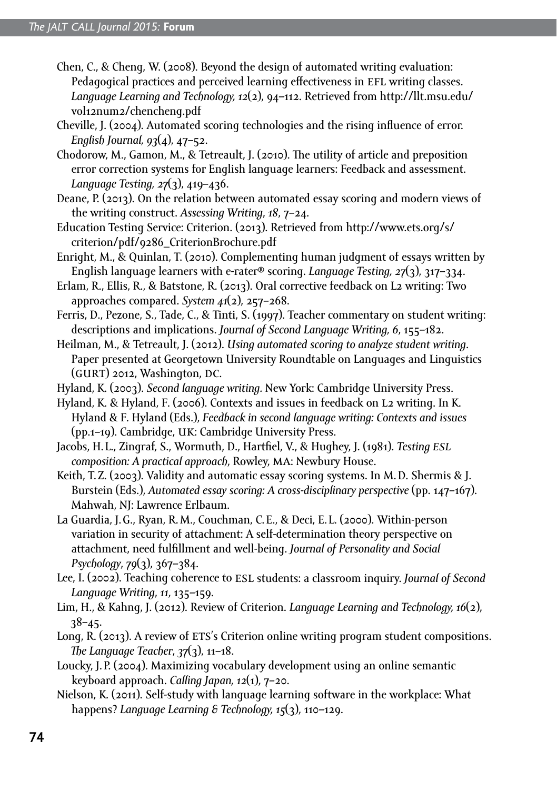- Chen, C., & Cheng, W. (2008). Beyond the design of automated writing evaluation: Pedagogical practices and perceived learning effectiveness in EFL writing classes. *Language Learning and Technology, 12*(2), 94–112. Retrieved from [http://llt.msu.edu/](http://llt.msu.edu/vol12num2/chencheng.pdf) [vol12num2/chencheng.pdf](http://llt.msu.edu/vol12num2/chencheng.pdf)
- Cheville, J. (2004). Automated scoring technologies and the rising influence of error. *English Journal, 93*(4), 47–52.
- Chodorow, M., Gamon, M., & Tetreault, J. (2010). The utility of article and preposition error correction systems for English language learners: Feedback and assessment. *Language Testing, 27*(3), 419–436.
- Deane, P. (2013). On the relation between automated essay scoring and modern views of the writing construct. *Assessing Writing*, *18*, 7–24.
- Education Testing Service: Criterion. (2013). Retrieved from [http://www.ets.org/s/](http://www.ets.org/s/criterion/pdf/9286_CriterionBrochure.pdf) [criterion/pdf/9286\\_CriterionBrochure.pdf](http://www.ets.org/s/criterion/pdf/9286_CriterionBrochure.pdf)
- Enright, M., & Quinlan, T. (2010). Complementing human judgment of essays written by English language learners with e-rater® scoring. *Language Testing, 27*(3), 317–334.
- Erlam, R., Ellis, R., & Batstone, R. (2013). Oral corrective feedback on L2 writing: Two approaches compared. *System 41*(2), 257–268.
- Ferris, D., Pezone, S., Tade, C., & Tinti, S. (1997). Teacher commentary on student writing: descriptions and implications. *Journal of Second Language Writing, 6*, 155–182.
- Heilman, M., & Tetreault, J. (2012). *Using automated scoring to analyze student writing*. Paper presented at Georgetown University Roundtable on Languages and Linguistics (GURT) 2012, Washington, DC.
- Hyland, K. (2003). *Second language writing.* New York: Cambridge University Press.
- Hyland, K. & Hyland, F. (2006). Contexts and issues in feedback on l2 writing. In K. Hyland & F. Hyland (Eds.), *Feedback in second language writing: Contexts and issues*  (pp.1–19). Cambridge, uk: Cambridge University Press.
- Jacobs, H. L., Zingraf, S., Wormuth, D., Hartfiel, V., & Hughey, J. (1981). *Testing esl composition: A practical approach*, Rowley, ma: Newbury House.
- Keith, T.Z. (2003). Validity and automatic essay scoring systems. In M.D. Shermis & J. Burstein (Eds.), *Automated essay scoring: A cross-disciplinary perspective* (pp. 147–167). Mahwah, NJ: Lawrence Erlbaum.
- La Guardia, J.G., Ryan, R.M., Couchman, C.E., & Deci, E. L. (2000). Within-person variation in security of attachment: A self-determination theory perspective on attachment, need fulfillment and well-being. *Journal of Personality and Social Psychology*, *79*(3), 367–384.
- Lee, I. (2002). Teaching coherence to esl students: a classroom inquiry. *Journal of Second Language Writing*, *11*, 135–159.
- Lim, H., & Kahng, J. (2012). Review of Criterion. *Language Learning and Technology, 16*(2), 38–45.
- Long, R. (2013). A review of ETS's Criterion online writing program student compositions. *The Language Teacher*, *37*(3), 11–18.
- Loucky, J.P. (2004). Maximizing vocabulary development using an online semantic keyboard approach. *Calling Japan, 12*(1), 7–20.
- Nielson, K. (2011). Self-study with language learning software in the workplace: What happens? *Language Learning & Technology, 15*(3), 110–129.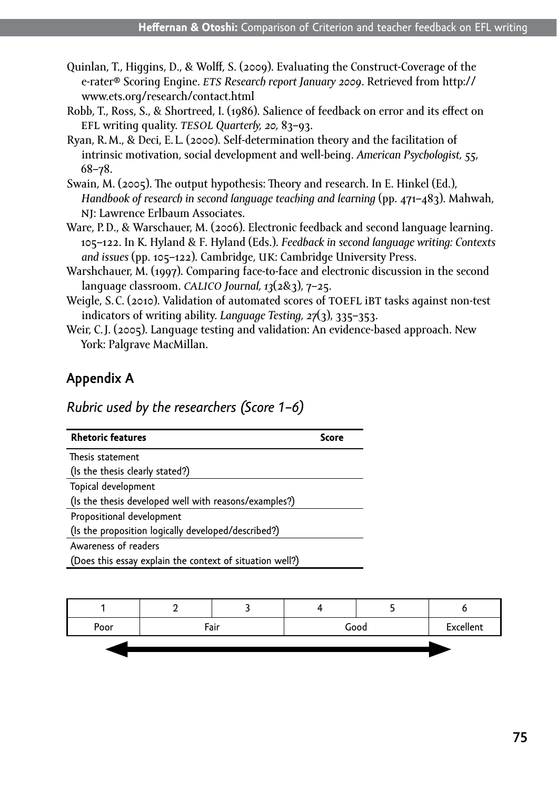- Quinlan, T., Higgins, D., & Wolff, S. (2009). Evaluating the Construct-Coverage of the e-rater® Scoring Engine. *ets Research report January 2009*. Retrieved from [http://](http://www.ets.org/research/contact.html) [www.ets.org/research/contact.html](http://www.ets.org/research/contact.html)
- Robb, T., Ross, S., & Shortreed, I. (1986). Salience of feedback on error and its effect on efl writing quality. *tesol Quarterly, 20,* 83–93.
- Ryan, R.M., & Deci, E. L. (2000). Self-determination theory and the facilitation of intrinsic motivation, social development and well-being. *American Psychologist, 55*, 68–78.
- Swain, M. (2005). The output hypothesis: Theory and research. In E. Hinkel (Ed.), *Handbook of research in second language teaching and learning* (pp. 471–483). Mahwah, nj: Lawrence Erlbaum Associates.
- Ware, P.D., & Warschauer, M. (2006). Electronic feedback and second language learning. 105–122. In K. Hyland & F. Hyland (Eds.). *Feedback in second language writing: Contexts and issues* (pp. 105–122). Cambridge, uk: Cambridge University Press.
- Warshchauer, M. (1997). Comparing face-to-face and electronic discussion in the second language classroom. *calico Journal, 13*(2&3), 7–25.
- Weigle, S.C. (2010). Validation of automated scores of TOEFL iBT tasks against non-test indicators of writing ability. *Language Testing, 27*(3), 335–353.
- Weir, C.J. (2005). Language testing and validation: An evidence-based approach. New York: Palgrave MacMillan.

# **Appendix A**

# *Rubric used by the researchers (Score 1–6)*

| <b>Rhetoric features</b>                                 |  |
|----------------------------------------------------------|--|
| Thesis statement                                         |  |
| (Is the thesis clearly stated?)                          |  |
| Topical development                                      |  |
| (Is the thesis developed well with reasons/examples?)    |  |
| Propositional development                                |  |
| (Is the proposition logically developed/described?)      |  |
| Awareness of readers                                     |  |
| (Does this essay explain the context of situation well?) |  |